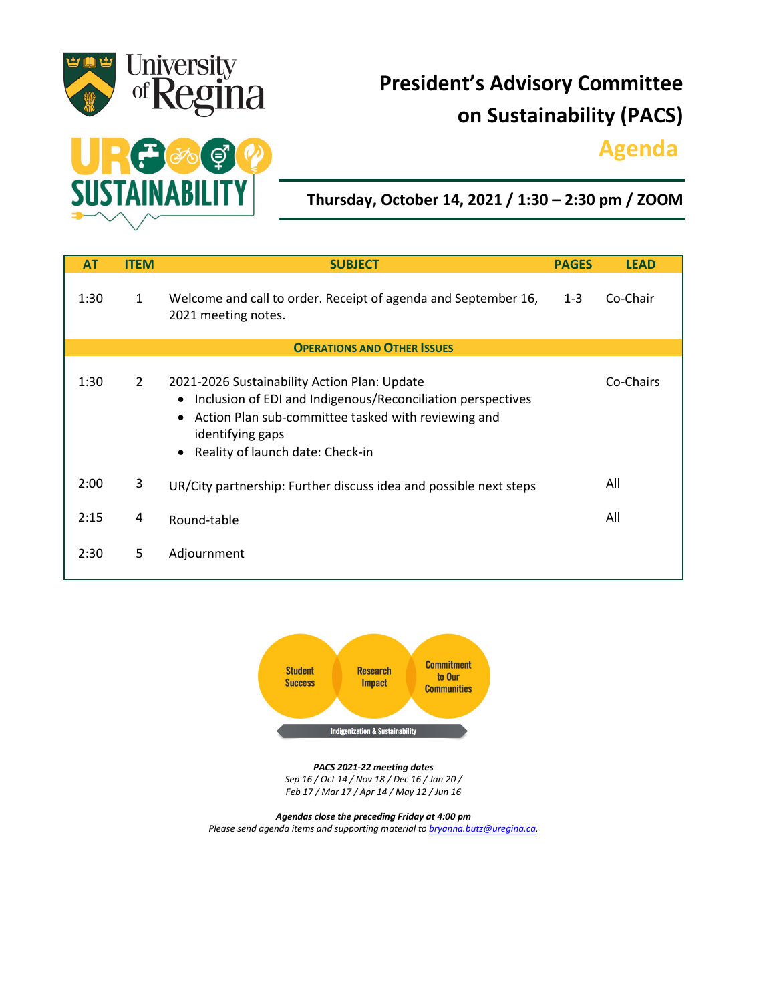

# **President's Advisory Committee on Sustainability (PACS)**

## **Agenda.**



**Thursday, October 14, 2021 / 1:30 – 2:30 pm / ZOOM**

| <b>AT</b>                          | <b>ITEM</b>  | <b>SUBJECT</b>                                                                                                                                                                                                                                                    | <b>PAGES</b> | <b>LEAD</b> |
|------------------------------------|--------------|-------------------------------------------------------------------------------------------------------------------------------------------------------------------------------------------------------------------------------------------------------------------|--------------|-------------|
| 1:30                               | $\mathbf{1}$ | Welcome and call to order. Receipt of agenda and September 16,<br>2021 meeting notes.                                                                                                                                                                             | $1 - 3$      | Co-Chair    |
| <b>OPERATIONS AND OTHER ISSUES</b> |              |                                                                                                                                                                                                                                                                   |              |             |
| 1:30                               | $2^{\circ}$  | 2021-2026 Sustainability Action Plan: Update<br>Inclusion of EDI and Indigenous/Reconciliation perspectives<br>$\bullet$<br>Action Plan sub-committee tasked with reviewing and<br>$\bullet$<br>identifying gaps<br>Reality of launch date: Check-in<br>$\bullet$ |              | Co-Chairs   |
| 2:00                               | 3            | UR/City partnership: Further discuss idea and possible next steps                                                                                                                                                                                                 |              | All         |
| 2:15                               | 4            | Round-table                                                                                                                                                                                                                                                       |              | All         |
| 2:30                               | 5            | Adjournment                                                                                                                                                                                                                                                       |              |             |



*PACS 2021-22 meeting dates Sep 16 / Oct 14 / Nov 18 / Dec 16 / Jan 20 / Feb 17 / Mar 17 / Apr 14 / May 12 / Jun 16*

*Agendas close the preceding Friday at 4:00 pm Please send agenda items and supporting material to [bryanna.butz@uregina.ca.](mailto:bryanna.butz@uregina.ca)*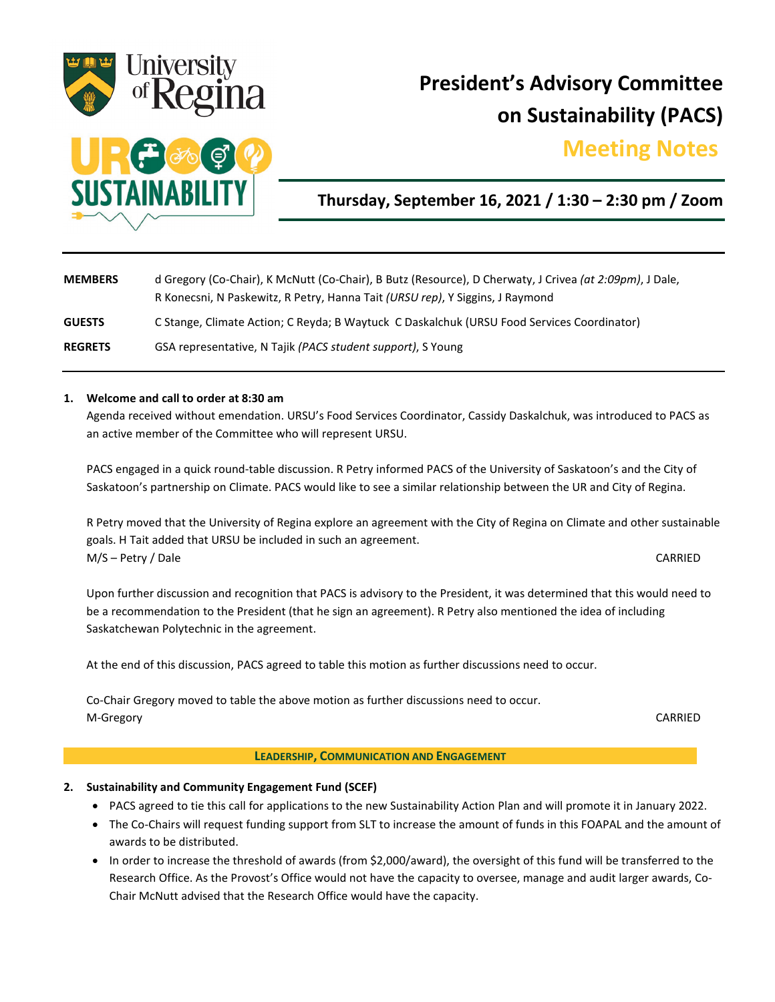

# **President's Advisory Committee on Sustainability (PACS)**

### **Meeting Notes.**



**Thursday, September 16, 2021 / 1:30 – 2:30 pm / Zoom**

| <b>MEMBERS</b> | d Gregory (Co-Chair), K McNutt (Co-Chair), B Butz (Resource), D Cherwaty, J Crivea (at 2:09pm), J Dale,<br>R Konecsni, N Paskewitz, R Petry, Hanna Tait (URSU rep), Y Siggins, J Raymond |  |
|----------------|------------------------------------------------------------------------------------------------------------------------------------------------------------------------------------------|--|
| <b>GUESTS</b>  | C Stange, Climate Action; C Reyda; B Waytuck C Daskalchuk (URSU Food Services Coordinator)                                                                                               |  |
| <b>REGRETS</b> | GSA representative, N Tajik (PACS student support), S Young                                                                                                                              |  |

#### **1. Welcome and call to order at 8:30 am**

Agenda received without emendation. URSU's Food Services Coordinator, Cassidy Daskalchuk, was introduced to PACS as an active member of the Committee who will represent URSU.

PACS engaged in a quick round-table discussion. R Petry informed PACS of the University of Saskatoon's and the City of Saskatoon's partnership on Climate. PACS would like to see a similar relationship between the UR and City of Regina.

R Petry moved that the University of Regina explore an agreement with the City of Regina on Climate and other sustainable goals. H Tait added that URSU be included in such an agreement. M/S – Petry / Dale CARRIED

Upon further discussion and recognition that PACS is advisory to the President, it was determined that this would need to be a recommendation to the President (that he sign an agreement). R Petry also mentioned the idea of including Saskatchewan Polytechnic in the agreement.

At the end of this discussion, PACS agreed to table this motion as further discussions need to occur.

Co-Chair Gregory moved to table the above motion as further discussions need to occur. M-Gregory CARRIED

#### **LEADERSHIP, COMMUNICATION AND ENGAGEMENT**

### **2. Sustainability and Community Engagement Fund (SCEF)**

- PACS agreed to tie this call for applications to the new Sustainability Action Plan and will promote it in January 2022.
- The Co-Chairs will request funding support from SLT to increase the amount of funds in this FOAPAL and the amount of awards to be distributed.
- In order to increase the threshold of awards (from \$2,000/award), the oversight of this fund will be transferred to the Research Office. As the Provost's Office would not have the capacity to oversee, manage and audit larger awards, Co-Chair McNutt advised that the Research Office would have the capacity.